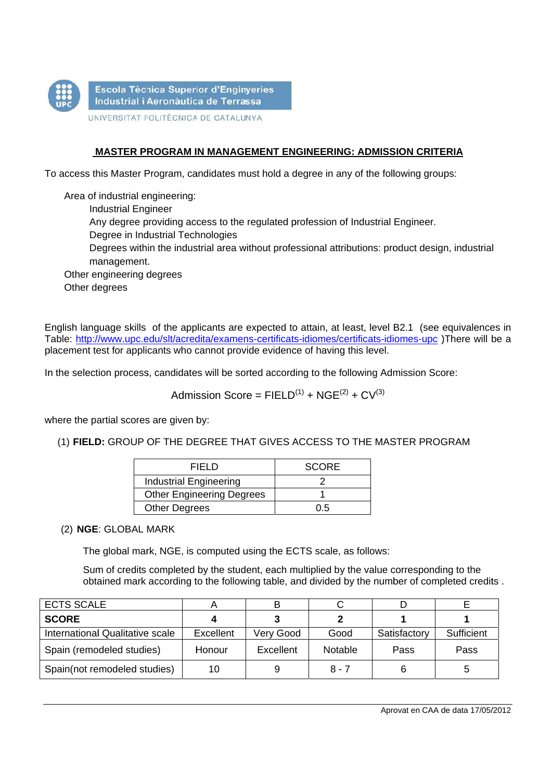

## MASTER PROGRAM IN MANAGEMENT ENGINEERING: ADMISSION CRITERIA

To access this Master Program, candidates must hold a degree in any of the following groups:

Area of industrial engineering: **Industrial Engineer** Any degree providing access to the regulated profession of Industrial Engineer. Degree in Industrial Technologies Degrees within the industrial area without professional attributions: product design, industrial management. Other engineering degrees Other degrees

English language skills of the applicants are expected to attain, at least, level B2.1 (see equivalences in Table: http://www.upc.edu/slt/acredita/examens-certificats-idiomes/certificats-idiomes-upc)There will be a placement test for applicants who cannot provide evidence of having this level.

In the selection process, candidates will be sorted according to the following Admission Score:

Admission Score =  $FIELD<sup>(1)</sup> + NGE<sup>(2)</sup> + CV<sup>(3)</sup>$ 

where the partial scores are given by:

(1) FIELD: GROUP OF THE DEGREE THAT GIVES ACCESS TO THE MASTER PROGRAM

| FIFI D                           | <b>SCORE</b> |  |  |
|----------------------------------|--------------|--|--|
| <b>Industrial Engineering</b>    |              |  |  |
| <b>Other Engineering Degrees</b> |              |  |  |
| <b>Other Degrees</b>             | ი 5          |  |  |

(2) NGE: GLOBAL MARK

The global mark, NGE, is computed using the ECTS scale, as follows:

Sum of credits completed by the student, each multiplied by the value corresponding to the obtained mark according to the following table, and divided by the number of completed credits.

| <b>ECTS SCALE</b>               |           | в         |                |              |            |
|---------------------------------|-----------|-----------|----------------|--------------|------------|
| <b>SCORE</b>                    |           |           |                |              |            |
| International Qualitative scale | Excellent | Very Good | Good           | Satisfactory | Sufficient |
| Spain (remodeled studies)       | Honour    | Excellent | <b>Notable</b> | Pass         | Pass       |
| Spain(not remodeled studies)    | 10        | 9         | 8 - 7          |              | 5          |